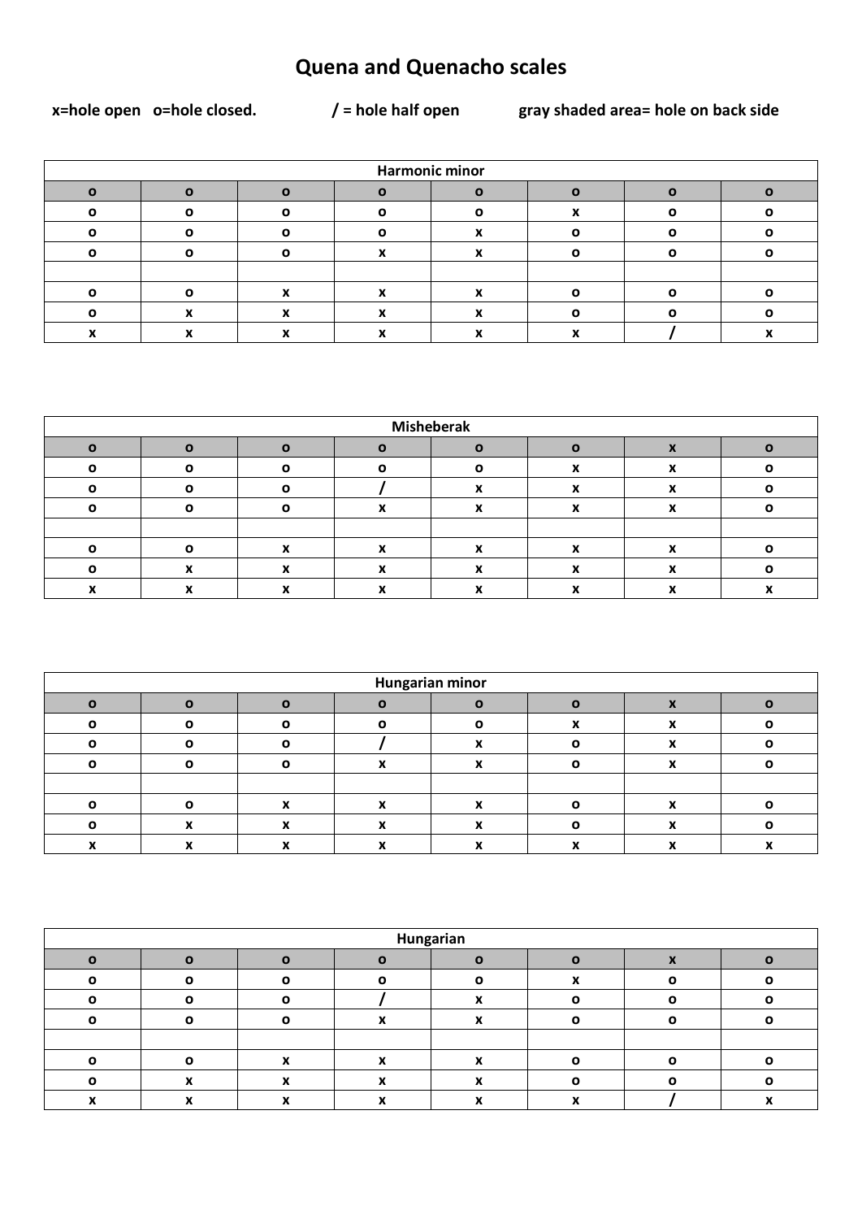## **Quena and Quenacho scales**

x=hole open o=hole closed.

 $/$  = hole half open

gray shaded area= hole on back side

| <b>Harmonic minor</b> |  |  |  |  |  |  |  |  |  |  |
|-----------------------|--|--|--|--|--|--|--|--|--|--|
|                       |  |  |  |  |  |  |  |  |  |  |
|                       |  |  |  |  |  |  |  |  |  |  |
|                       |  |  |  |  |  |  |  |  |  |  |
|                       |  |  |  |  |  |  |  |  |  |  |
|                       |  |  |  |  |  |  |  |  |  |  |
|                       |  |  |  |  |  |  |  |  |  |  |
|                       |  |  |  |  |  |  |  |  |  |  |
|                       |  |  |  |  |  |  |  |  |  |  |

| <b>Misheberak</b> |  |  |  |  |  |  |  |  |  |  |
|-------------------|--|--|--|--|--|--|--|--|--|--|
|                   |  |  |  |  |  |  |  |  |  |  |
|                   |  |  |  |  |  |  |  |  |  |  |
| n                 |  |  |  |  |  |  |  |  |  |  |
|                   |  |  |  |  |  |  |  |  |  |  |
|                   |  |  |  |  |  |  |  |  |  |  |
|                   |  |  |  |  |  |  |  |  |  |  |
|                   |  |  |  |  |  |  |  |  |  |  |
|                   |  |  |  |  |  |  |  |  |  |  |

| <b>Hungarian minor</b> |                      |  |  |                          |  |   |  |  |  |  |
|------------------------|----------------------|--|--|--------------------------|--|---|--|--|--|--|
|                        |                      |  |  |                          |  |   |  |  |  |  |
|                        |                      |  |  |                          |  |   |  |  |  |  |
|                        |                      |  |  |                          |  |   |  |  |  |  |
|                        |                      |  |  |                          |  |   |  |  |  |  |
|                        |                      |  |  |                          |  |   |  |  |  |  |
|                        |                      |  |  |                          |  |   |  |  |  |  |
|                        | $\ddot{\phantom{0}}$ |  |  | $\overline{\phantom{a}}$ |  | Ð |  |  |  |  |
|                        |                      |  |  |                          |  |   |  |  |  |  |

| Hungarian |  |   |              |  |   |   |  |  |  |  |
|-----------|--|---|--------------|--|---|---|--|--|--|--|
| n         |  | О |              |  |   |   |  |  |  |  |
| Ω         |  |   | Ω            |  | ^ | O |  |  |  |  |
| C         |  | C |              |  |   | ŋ |  |  |  |  |
| ∩         |  | Λ | $\mathbf{v}$ |  |   | ω |  |  |  |  |
|           |  |   |              |  |   |   |  |  |  |  |
|           |  |   | $\bullet$    |  |   |   |  |  |  |  |
| C         |  |   |              |  |   |   |  |  |  |  |
|           |  |   |              |  |   |   |  |  |  |  |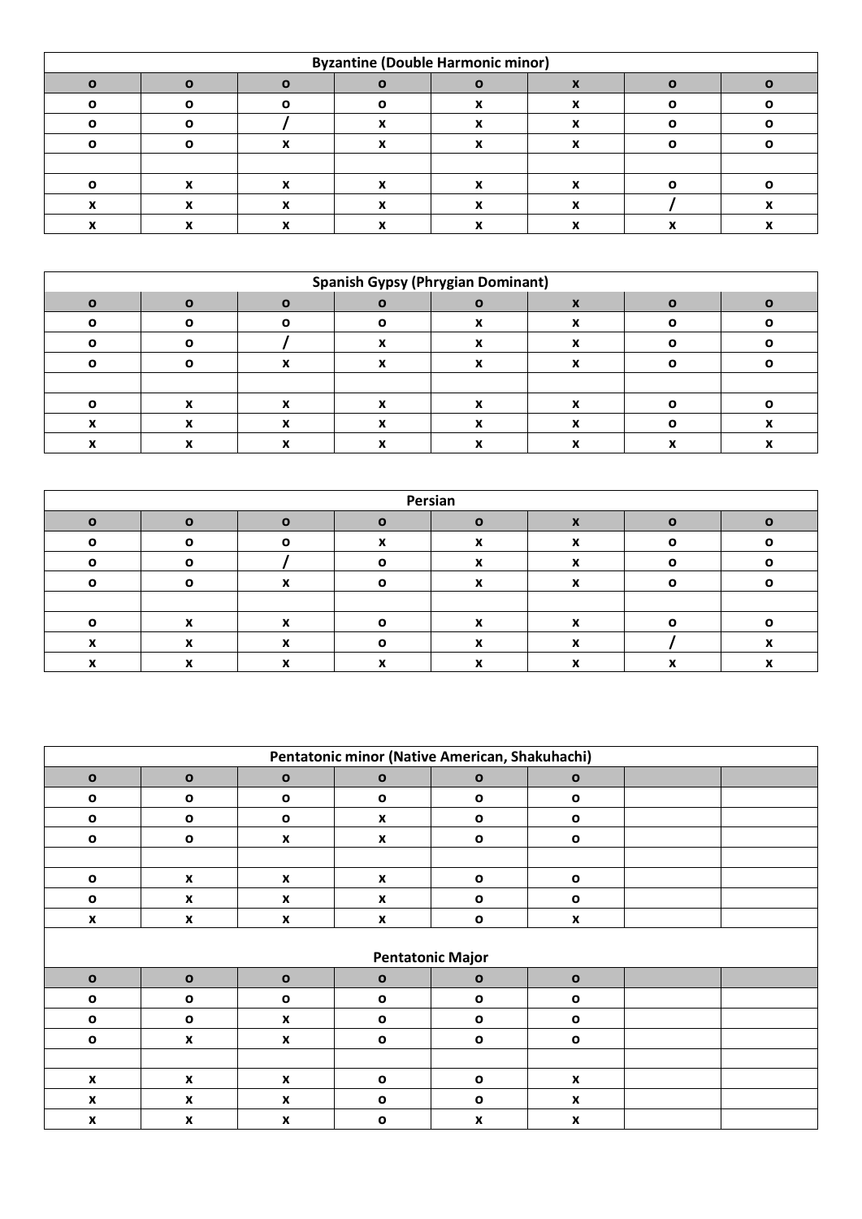| <b>Byzantine (Double Harmonic minor)</b> |  |  |  |  |  |  |  |  |  |  |
|------------------------------------------|--|--|--|--|--|--|--|--|--|--|
|                                          |  |  |  |  |  |  |  |  |  |  |
|                                          |  |  |  |  |  |  |  |  |  |  |
|                                          |  |  |  |  |  |  |  |  |  |  |
|                                          |  |  |  |  |  |  |  |  |  |  |
|                                          |  |  |  |  |  |  |  |  |  |  |
|                                          |  |  |  |  |  |  |  |  |  |  |
|                                          |  |  |  |  |  |  |  |  |  |  |
|                                          |  |  |  |  |  |  |  |  |  |  |

| <b>Spanish Gypsy (Phrygian Dominant)</b> |  |  |  |  |  |  |  |  |  |  |
|------------------------------------------|--|--|--|--|--|--|--|--|--|--|
|                                          |  |  |  |  |  |  |  |  |  |  |
|                                          |  |  |  |  |  |  |  |  |  |  |
|                                          |  |  |  |  |  |  |  |  |  |  |
|                                          |  |  |  |  |  |  |  |  |  |  |
|                                          |  |  |  |  |  |  |  |  |  |  |
|                                          |  |  |  |  |  |  |  |  |  |  |
|                                          |  |  |  |  |  |  |  |  |  |  |
|                                          |  |  |  |  |  |  |  |  |  |  |

| Persian |  |  |  |  |  |  |  |  |  |  |
|---------|--|--|--|--|--|--|--|--|--|--|
|         |  |  |  |  |  |  |  |  |  |  |
|         |  |  |  |  |  |  |  |  |  |  |
|         |  |  |  |  |  |  |  |  |  |  |
|         |  |  |  |  |  |  |  |  |  |  |
|         |  |  |  |  |  |  |  |  |  |  |
|         |  |  |  |  |  |  |  |  |  |  |
|         |  |  |  |  |  |  |  |  |  |  |
|         |  |  |  |  |  |  |  |  |  |  |

| Pentatonic minor (Native American, Shakuhachi) |                    |                    |                         |              |                    |  |  |  |  |
|------------------------------------------------|--------------------|--------------------|-------------------------|--------------|--------------------|--|--|--|--|
| $\mathbf{o}$                                   | $\mathbf{o}$       | $\mathbf{o}$       | $\mathbf{o}$            | $\mathbf{o}$ | $\mathbf{o}$       |  |  |  |  |
| $\mathbf{o}$                                   | $\mathbf{o}$       | $\mathbf{o}$       | $\mathbf{o}$            | $\mathbf{o}$ | $\mathbf{o}$       |  |  |  |  |
| $\mathbf{o}$                                   | $\mathbf{o}$       | $\mathbf o$        | $\boldsymbol{x}$        | $\mathbf{o}$ | $\mathbf 0$        |  |  |  |  |
| $\mathbf{o}$                                   | $\mathbf{o}$       | X                  | X                       | $\mathbf{o}$ | $\mathbf{o}$       |  |  |  |  |
|                                                |                    |                    |                         |              |                    |  |  |  |  |
| $\mathbf{o}$                                   | X                  | X                  | X                       | $\mathbf{o}$ | $\mathbf 0$        |  |  |  |  |
| $\mathbf{o}$                                   | X                  | X                  | $\boldsymbol{x}$        | $\mathbf{o}$ | $\mathbf{o}$       |  |  |  |  |
| $\boldsymbol{x}$                               | X                  | X                  | X                       | $\mathbf{o}$ | X                  |  |  |  |  |
|                                                |                    |                    |                         |              |                    |  |  |  |  |
|                                                |                    |                    | <b>Pentatonic Major</b> |              |                    |  |  |  |  |
| $\mathbf{o}$                                   | $\mathbf{o}$       | $\mathbf{o}$       | $\mathbf{o}$            | $\mathbf{o}$ | $\mathbf{o}$       |  |  |  |  |
| $\mathbf{o}$                                   | $\mathbf{o}$       | $\mathbf{o}$       | $\mathbf{o}$            | $\mathbf{o}$ | $\mathbf{o}$       |  |  |  |  |
| $\mathbf{o}$                                   | $\mathbf{o}$       | X                  | $\mathbf{o}$            | $\mathbf{o}$ | $\mathbf{o}$       |  |  |  |  |
| $\mathbf{o}$                                   | X                  | X                  | $\mathbf{o}$            | $\mathbf{o}$ | $\mathbf{o}$       |  |  |  |  |
|                                                |                    |                    |                         |              |                    |  |  |  |  |
| $\boldsymbol{\mathsf{x}}$                      | $\pmb{\mathsf{x}}$ | $\pmb{\mathsf{x}}$ | $\mathbf{o}$            | $\mathbf{o}$ | $\pmb{\mathsf{x}}$ |  |  |  |  |
| $\boldsymbol{x}$                               | X                  | $\pmb{\mathsf{x}}$ | $\mathbf{o}$            | $\mathbf{o}$ | $\pmb{\mathsf{x}}$ |  |  |  |  |
| $\boldsymbol{x}$                               | X                  | $\pmb{\mathsf{x}}$ | $\mathbf{o}$            | X            | X                  |  |  |  |  |